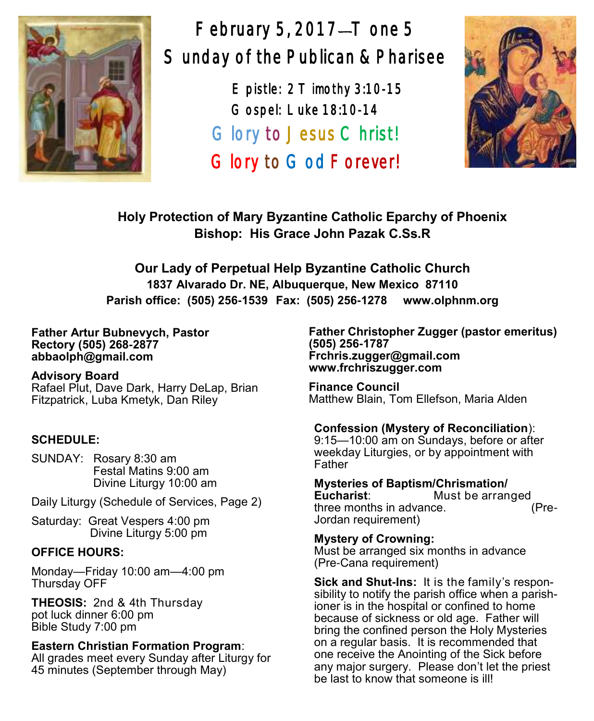

February 5, 2017 $-$ T one 5 Sunday of the Publican & Pharisee

> E pistle: 2 T imothy 3:10-15 Gospel: Luke 18:10-14 Glory to Jesus Christ! Glory to God Forever!



**Holy Protection of Mary Byzantine Catholic Eparchy of Phoenix Bishop: His Grace John Pazak C.Ss.R**

**Our Lady of Perpetual Help Byzantine Catholic Church 1837 Alvarado Dr. NE, Albuquerque, New Mexico 87110 Parish office: (505) 256-1539 Fax: (505) 256-1278 www.olphnm.org**

#### **Father Artur Bubnevych, Pastor Rectory (505) 268-2877 abbaolph@gmail.com**

**Advisory Board**  Rafael Plut, Dave Dark, Harry DeLap, Brian Fitzpatrick, Luba Kmetyk, Dan Riley

# **SCHEDULE:**

SUNDAY: Rosary 8:30 am Festal Matins 9:00 am Divine Liturgy 10:00 am

Daily Liturgy (Schedule of Services, Page 2)

Saturday: Great Vespers 4:00 pm Divine Liturgy 5:00 pm

# **OFFICE HOURS:**

Monday—Friday 10:00 am—4:00 pm Thursday OFF

**THEOSIS:** 2nd & 4th Thursday pot luck dinner 6:00 pm Bible Study 7:00 pm

# **Eastern Christian Formation Program**:

All grades meet every Sunday after Liturgy for 45 minutes (September through May)

**Father Christopher Zugger (pastor emeritus) (505) 256-1787 Frchris.zugger@gmail.com www.frchriszugger.com** 

**Finance Council**  Matthew Blain, Tom Ellefson, Maria Alden

# **Confession (Mystery of Reconciliation**):

9:15—10:00 am on Sundays, before or after weekday Liturgies, or by appointment with Father

**Mysteries of Baptism/Chrismation/ Eucharist**: Must be arranged<br>three months in advance. (Prethree months in advance. Jordan requirement)

**Mystery of Crowning:**  Must be arranged six months in advance (Pre-Cana requirement)

**Sick and Shut-Ins:** It is the family's responsibility to notify the parish office when a parishioner is in the hospital or confined to home because of sickness or old age. Father will bring the confined person the Holy Mysteries on a regular basis. It is recommended that one receive the Anointing of the Sick before any major surgery. Please don't let the priest be last to know that someone is ill!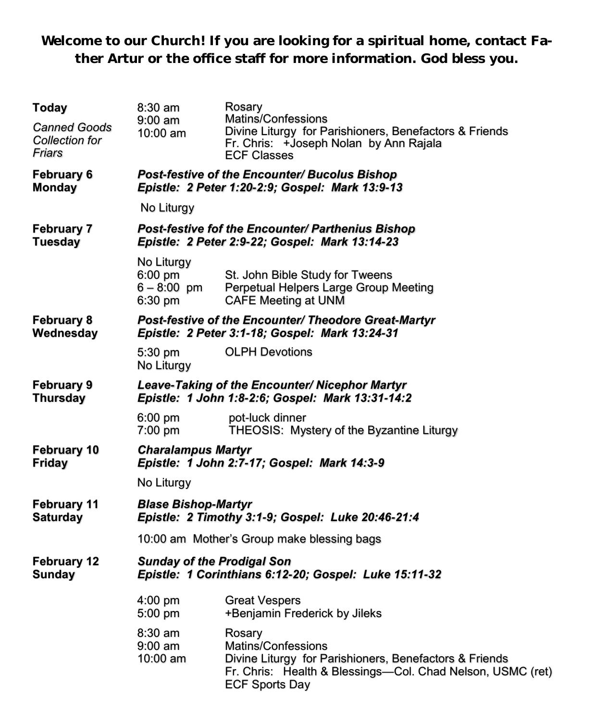**Welcome to our Church! If you are looking for a spiritual home, contact Father Artur or the office staff for more information. God bless you.**

| <b>Today</b>                                    | 8:30 am                                                                                                | Rosary                                                                                                                                                                        |  |  |
|-------------------------------------------------|--------------------------------------------------------------------------------------------------------|-------------------------------------------------------------------------------------------------------------------------------------------------------------------------------|--|--|
| <b>Canned Goods</b><br>Collection for<br>Friars | 9:00 am<br>10:00 am                                                                                    | Matins/Confessions<br>Divine Liturgy for Parishioners, Benefactors & Friends<br>Fr. Chris: +Joseph Nolan by Ann Rajala<br><b>ECF Classes</b>                                  |  |  |
| <b>February 6</b><br><b>Monday</b>              | Post-festive of the Encounter/ Bucolus Bishop<br>Epistle: 2 Peter 1:20-2:9; Gospel: Mark 13:9-13       |                                                                                                                                                                               |  |  |
|                                                 | No Liturgy                                                                                             |                                                                                                                                                                               |  |  |
| <b>February 7</b><br><b>Tuesday</b>             | Post-festive fof the Encounter/ Parthenius Bishop<br>Epistle: 2 Peter 2:9-22; Gospel: Mark 13:14-23    |                                                                                                                                                                               |  |  |
|                                                 | No Liturgy<br>6:00 pm<br>$6 - 8:00$ pm<br>6:30 pm                                                      | St. John Bible Study for Tweens<br>Perpetual Helpers Large Group Meeting<br><b>CAFE Meeting at UNM</b>                                                                        |  |  |
| <b>February 8</b><br>Wednesday                  | Post-festive of the Encounter/ Theodore Great-Martyr<br>Epistle: 2 Peter 3:1-18; Gospel: Mark 13:24-31 |                                                                                                                                                                               |  |  |
|                                                 | 5:30 pm<br>No Liturgy                                                                                  | <b>OLPH Devotions</b>                                                                                                                                                         |  |  |
| February 9<br><b>Thursday</b>                   | Leave-Taking of the Encounter/ Nicephor Martyr<br>Epistle: 1 John 1:8-2:6; Gospel: Mark 13:31-14:2     |                                                                                                                                                                               |  |  |
|                                                 | 6:00 pm<br>7:00 pm                                                                                     | pot-luck dinner<br>THEOSIS: Mystery of the Byzantine Liturgy                                                                                                                  |  |  |
| <b>February 10</b><br>Friday                    | <b>Charalampus Martyr</b><br>Epistle: 1 John 2:7-17; Gospel: Mark 14:3-9                               |                                                                                                                                                                               |  |  |
|                                                 | No Liturgy                                                                                             |                                                                                                                                                                               |  |  |
| <b>February 11</b><br><b>Saturday</b>           | <b>Blase Bishop-Martyr</b><br>Epistle: 2 Timothy 3:1-9; Gospel: Luke 20:46-21:4                        |                                                                                                                                                                               |  |  |
|                                                 | 10:00 am Mother's Group make blessing bags                                                             |                                                                                                                                                                               |  |  |
| <b>February 12</b><br><b>Sunday</b>             | <b>Sunday of the Prodigal Son</b><br>Epistle: 1 Corinthians 6:12-20; Gospel: Luke 15:11-32             |                                                                                                                                                                               |  |  |
|                                                 | 4:00 pm<br>5:00 pm                                                                                     | <b>Great Vespers</b><br>+Benjamin Frederick by Jileks                                                                                                                         |  |  |
|                                                 | 8:30 am<br>$9:00 \text{ am}$<br>10:00 am                                                               | Rosary<br>Matins/Confessions<br>Divine Liturgy for Parishioners, Benefactors & Friends<br>Fr. Chris: Health & Blessings-Col. Chad Nelson, USMC (ret)<br><b>ECF Sports Day</b> |  |  |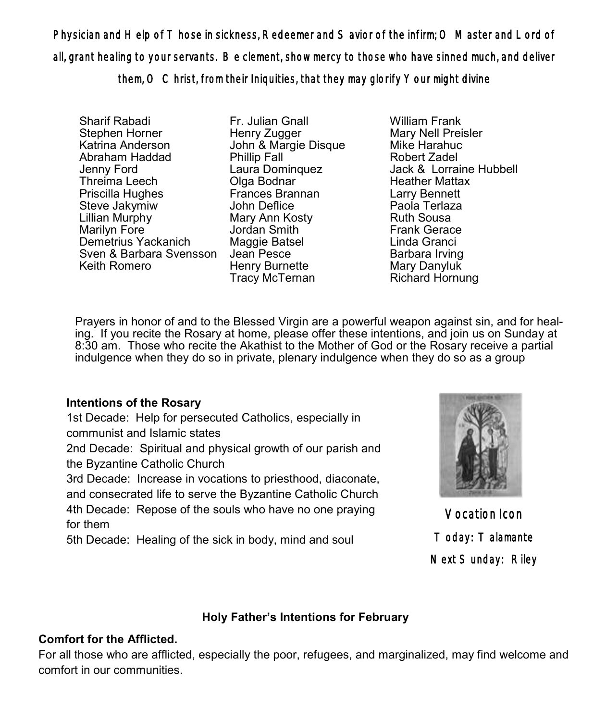Physician and Help of Those in sickness, Redeemer and Savior of the infirm; O Master and Lord of all, grant healing to your servants. Be clement, show mercy to those who have sinned much, and deliver

them, O Christ, from their Iniquities, that they may glorify Your might divine

Sharif Rabadi Stephen Horner Katrina Anderson Abraham Haddad Jenny Ford Threima Leech Priscilla Hughes Steve Jakymiw Lillian Murphy Marilyn Fore Demetrius Yackanich Sven & Barbara Svensson Jean Pesce Keith Romero

Fr. Julian Gnall Henry Zugger John & Margie Disque Phillip Fall Laura Dominquez Olga Bodnar Frances Brannan John Deflice Mary Ann Kosty Jordan Smith Maggie Batsel Henry Burnette Tracy McTernan

William Frank Mary Nell Preisler Mike Harahuc Robert Zadel Jack & Lorraine Hubbell Heather Mattax Larry Bennett Paola Terlaza Ruth Sousa Frank Gerace Linda Granci Barbara Irving Mary Danyluk Richard Hornung

Prayers in honor of and to the Blessed Virgin are a powerful weapon against sin, and for healing. If you recite the Rosary at home, please offer these intentions, and join us on Sunday at 8:30 am. Those who recite the Akathist to the Mother of God or the Rosary receive a partial indulgence when they do so in private, plenary indulgence when they do so as a group

# **Intentions of the Rosary**

1st Decade: Help for persecuted Catholics, especially in communist and Islamic states

2nd Decade: Spiritual and physical growth of our parish and the Byzantine Catholic Church

3rd Decade: Increase in vocations to priesthood, diaconate, and consecrated life to serve the Byzantine Catholic Church 4th Decade: Repose of the souls who have no one praying for them

5th Decade: Healing of the sick in body, mind and soul



Vocation Icon Today: Talamante Next Sunday: Riley

## **Holy Father's Intentions for February**

## **Comfort for the Afflicted.**

For all those who are afflicted, especially the poor, refugees, and marginalized, may find welcome and comfort in our communities.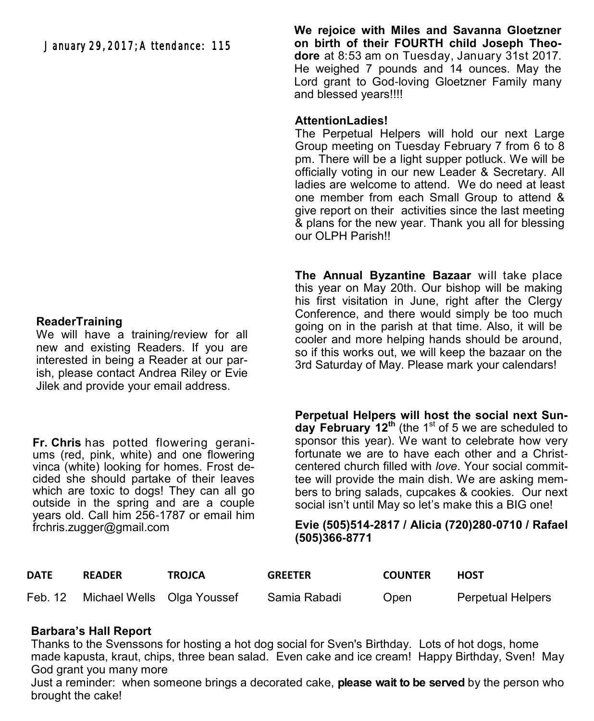## **ReaderTraining**

We will have a training/review for all new and existing Readers. If you are interested in being a Reader at our parish, please contact Andrea Riley or Evie Jilek and provide your email address.

**Fr. Chris** has potted flowering geraniums (red, pink, white) and one flowering vinca (white) looking for homes. Frost decided she should partake of their leaves which are toxic to dogs! They can all go outside in the spring and are a couple years old. Call him 256-1787 or email him [frchris.zugger@gmail.com](mailto:frchris.zugger@gmail.com)

**We rejoice with Miles and Savanna Gloetzner on birth of their FOURTH child Joseph Theodore** at 8:53 am on Tuesday, January 31st 2017. He weighed 7 pounds and 14 ounces. May the Lord grant to God-loving Gloetzner Family many and blessed years!!!!

## **AttentionLadies!**

The Perpetual Helpers will hold our next Large Group meeting on Tuesday February 7 from 6 to 8 pm. There will be a light supper potluck. We will be officially voting in our new Leader & Secretary. All ladies are welcome to attend. We do need at least one member from each Small Group to attend & give report on their activities since the last meeting & plans for the new year. Thank you all for blessing our OLPH Parish!!

**The Annual Byzantine Bazaar** will take place this year on May 20th. Our bishop will be making his first visitation in June, right after the Clergy Conference, and there would simply be too much going on in the parish at that time. Also, it will be cooler and more helping hands should be around, so if this works out, we will keep the bazaar on the 3rd Saturday of May. Please mark your calendars!

**Perpetual Helpers will host the social next Sun**day February 12<sup>th</sup> (the 1<sup>st</sup> of 5 we are scheduled to sponsor this year). We want to celebrate how very fortunate we are to have each other and a Christcentered church filled with *love*. Your social committee will provide the main dish. We are asking members to bring salads, cupcakes & cookies. Our next social isn't until May so let's make this a BIG one!

#### **Evie (505)514-2817 / Alicia (720)280-0710 / Rafael (505)366-8771**

| DATE | <b>READER</b>                      | <b>TROJCA</b> | <b>GREETER</b> | <b>COUNTER</b> | <b>HOST</b>              |
|------|------------------------------------|---------------|----------------|----------------|--------------------------|
|      | Feb. 12 Michael Wells Olga Youssef |               | Samia Rabadi   | <b>Open</b>    | <b>Perpetual Helpers</b> |

# **Barbara's Hall Report**

Thanks to the Svenssons for hosting a hot dog social for Sven's Birthday. Lots of hot dogs, home made kapusta, kraut, chips, three bean salad. Even cake and ice cream! Happy Birthday, Sven! May God grant you many more

Just a reminder: when someone brings a decorated cake, **please wait to be served** by the person who brought the cake!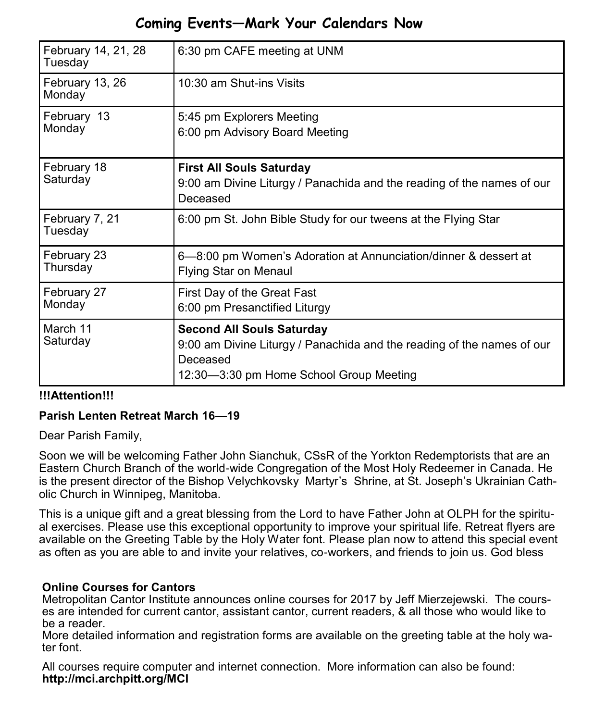# **Coming Events—Mark Your Calendars Now**

| February 14, 21, 28<br>Tuesday | 6:30 pm CAFE meeting at UNM                                                                                                                                       |
|--------------------------------|-------------------------------------------------------------------------------------------------------------------------------------------------------------------|
| February 13, 26<br>Monday      | 10:30 am Shut-ins Visits                                                                                                                                          |
| February 13<br>Monday          | 5:45 pm Explorers Meeting<br>6:00 pm Advisory Board Meeting                                                                                                       |
| February 18<br>Saturday        | <b>First All Souls Saturday</b><br>9:00 am Divine Liturgy / Panachida and the reading of the names of our<br>Deceased                                             |
| February 7, 21<br>Tuesday      | 6:00 pm St. John Bible Study for our tweens at the Flying Star                                                                                                    |
| February 23<br>Thursday        | 6-8:00 pm Women's Adoration at Annunciation/dinner & dessert at<br><b>Flying Star on Menaul</b>                                                                   |
| February 27<br>Monday          | First Day of the Great Fast<br>6:00 pm Presanctified Liturgy                                                                                                      |
| March 11<br>Saturday           | <b>Second All Souls Saturday</b><br>9:00 am Divine Liturgy / Panachida and the reading of the names of our<br>Deceased<br>12:30-3:30 pm Home School Group Meeting |

# **!!!Attention!!!**

# **Parish Lenten Retreat March 16—19**

Dear Parish Family,

Soon we will be welcoming Father John Sianchuk, CSsR of the Yorkton Redemptorists that are an Eastern Church Branch of the world-wide Congregation of the Most Holy Redeemer in Canada. He is the present director of the Bishop Velychkovsky Martyr's Shrine, at St. Joseph's Ukrainian Catholic Church in Winnipeg, Manitoba.

This is a unique gift and a great blessing from the Lord to have Father John at OLPH for the spiritual exercises. Please use this exceptional opportunity to improve your spiritual life. Retreat flyers are available on the Greeting Table by the Holy Water font. Please plan now to attend this special event as often as you are able to and invite your relatives, co-workers, and friends to join us. God bless

# **Online Courses for Cantors**

Metropolitan Cantor Institute announces online courses for 2017 by Jeff Mierzejewski. The courses are intended for current cantor, assistant cantor, current readers, & all those who would like to be a reader.

More detailed information and registration forms are available on the greeting table at the holy water font.

All courses require computer and internet connection. More information can also be found: **http://mci.archpitt.org/MCI**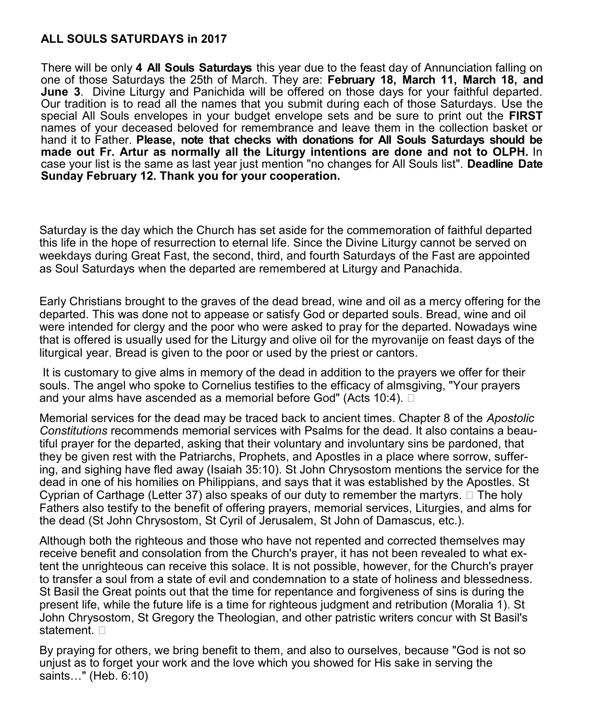# **ALL SOULS SATURDAYS in 2017**

There will be only **4 All Souls Saturdays** this year due to the feast day of Annunciation falling on one of those Saturdays the 25th of March. They are: **February 18, March 11, March 18, and June 3**. Divine Liturgy and Panichida will be offered on those days for your faithful departed. Our tradition is to read all the names that you submit during each of those Saturdays. Use the special All Souls envelopes in your budget envelope sets and be sure to print out the **FIRST** names of your deceased beloved for remembrance and leave them in the collection basket or hand it to Father. **Please, note that checks with donations for All Souls Saturdays should be made out Fr. Artur as normally all the Liturgy intentions are done and not to OLPH.** In case your list is the same as last year just mention "no changes for All Souls list". **Deadline Date Sunday February 12. Thank you for your cooperation.**

Saturday is the day which the Church has set aside for the commemoration of faithful departed this life in the hope of resurrection to eternal life. Since the Divine Liturgy cannot be served on weekdays during Great Fast, the second, third, and fourth Saturdays of the Fast are appointed as Soul Saturdays when the departed are remembered at Liturgy and Panachida.

Early Christians brought to the graves of the dead bread, wine and oil as a mercy offering for the departed. This was done not to appease or satisfy God or departed souls. Bread, wine and oil were intended for clergy and the poor who were asked to pray for the departed. Nowadays wine that is offered is usually used for the Liturgy and olive oil for the myrovanije on feast days of the liturgical year. Bread is given to the poor or used by the priest or cantors.

It is customary to give alms in memory of the dead in addition to the prayers we offer for their souls. The angel who spoke to Cornelius testifies to the efficacy of almsgiving, "Your prayers and your alms have ascended as a memorial before God" (Acts 10:4).  $\square$ 

Memorial services for the dead may be traced back to ancient times. Chapter 8 of the *Apostolic Constitutions* recommends memorial services with Psalms for the dead. It also contains a beautiful prayer for the departed, asking that their voluntary and involuntary sins be pardoned, that they be given rest with the Patriarchs, Prophets, and Apostles in a place where sorrow, suffering, and sighing have fled away (Isaiah 35:10). St John Chrysostom mentions the service for the dead in one of his homilies on Philippians, and says that it was established by the Apostles. St Cyprian of Carthage (Letter 37) also speaks of our duty to remember the martyrs.  $\Box$  The holy Fathers also testify to the benefit of offering prayers, memorial services, Liturgies, and alms for the dead (St John Chrysostom, St Cyril of Jerusalem, St John of Damascus, etc.).

Although both the righteous and those who have not repented and corrected themselves may receive benefit and consolation from the Church's prayer, it has not been revealed to what extent the unrighteous can receive this solace. It is not possible, however, for the Church's prayer to transfer a soul from a state of evil and condemnation to a state of holiness and blessedness. St Basil the Great points out that the time for repentance and forgiveness of sins is during the present life, while the future life is a time for righteous judgment and retribution (Moralia 1). St John Chrysostom, St Gregory the Theologian, and other patristic writers concur with St Basil's statement.  $\square$ 

By praying for others, we bring benefit to them, and also to ourselves, because "God is not so unjust as to forget your work and the love which you showed for His sake in serving the saints…" (Heb. 6:10)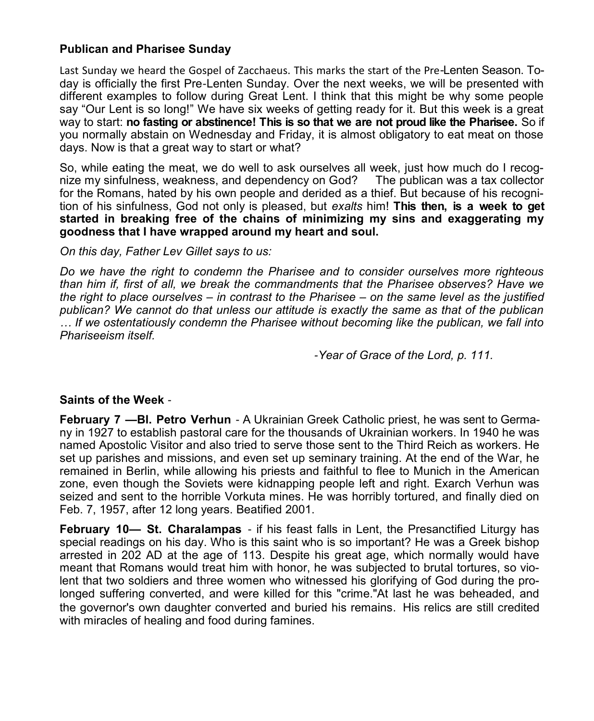## **Publican and Pharisee Sunday**

Last Sunday we heard the Gospel of Zacchaeus. This marks the start of the Pre-Lenten Season. Today is officially the first Pre-Lenten Sunday. Over the next weeks, we will be presented with different examples to follow during Great Lent. I think that this might be why some people say "Our Lent is so long!" We have six weeks of getting ready for it. But this week is a great way to start: **no fasting or abstinence! This is so that we are not proud like the Pharisee.** So if you normally abstain on Wednesday and Friday, it is almost obligatory to eat meat on those days. Now is that a great way to start or what?

So, while eating the meat, we do well to ask ourselves all week, just how much do I recognize my sinfulness, weakness, and dependency on God? The publican was a tax collector for the Romans, hated by his own people and derided as a thief. But because of his recognition of his sinfulness, God not only is pleased, but *exalts* him! **This then, is a week to get started in breaking free of the chains of minimizing my sins and exaggerating my goodness that I have wrapped around my heart and soul.** 

*On this day, Father Lev Gillet says to us:* 

*Do we have the right to condemn the Pharisee and to consider ourselves more righteous than him if, first of all, we break the commandments that the Pharisee observes? Have we the right to place ourselves – in contrast to the Pharisee – on the same level as the justified publican? We cannot do that unless our attitude is exactly the same as that of the publican … If we ostentatiously condemn the Pharisee without becoming like the publican, we fall into Phariseeism itself.* 

-*Year of Grace of the Lord, p. 111.* 

### **Saints of the Week** -

**February 7 —Bl. Petro Verhun** - A Ukrainian Greek Catholic priest, he was sent to Germany in 1927 to establish pastoral care for the thousands of Ukrainian workers. In 1940 he was named Apostolic Visitor and also tried to serve those sent to the Third Reich as workers. He set up parishes and missions, and even set up seminary training. At the end of the War, he remained in Berlin, while allowing his priests and faithful to flee to Munich in the American zone, even though the Soviets were kidnapping people left and right. Exarch Verhun was seized and sent to the horrible Vorkuta mines. He was horribly tortured, and finally died on Feb. 7, 1957, after 12 long years. Beatified 2001.

**February 10— St. Charalampas** - if his feast falls in Lent, the Presanctified Liturgy has special readings on his day. Who is this saint who is so important? He was a Greek bishop arrested in 202 AD at the age of 113. Despite his great age, which normally would have meant that Romans would treat him with honor, he was subjected to brutal tortures, so violent that two soldiers and three women who witnessed his glorifying of God during the prolonged suffering converted, and were killed for this "crime."At last he was beheaded, and the governor's own daughter converted and buried his remains. His relics are still credited with miracles of healing and food during famines.